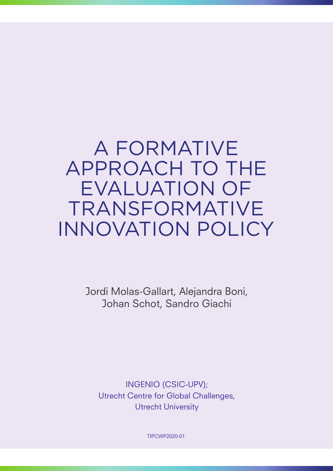# A FORMATIVE APPROACH TO THE EVALUATION OF TRANSFORMATIVE INNOVATION POLICY

Jordi Molas-Gallart, Alejandra Boni, Johan Schot, Sandro Giachi

INGENIO (CSIC-UPV); Utrecht Centre for Global Challenges, Utrecht University

TIPCWP2020-01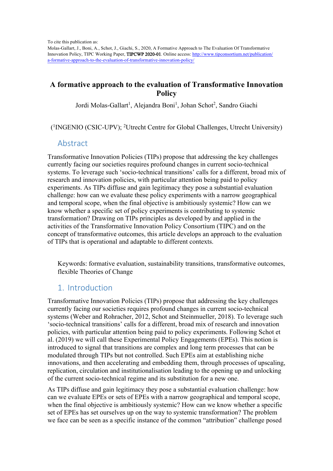To cite this publication as:

Molas-Gallart, J., Boni, A., Schot, J., Giachi, S., 2020, A Formative Approach to The Evaluation Of Transformative Innovation Policy, TIPC Working Paper, TIPCWP 2020-01. Online access: http://www.tipconsortium.net/publication/ a-formative-approach-to-the-evaluation-of-transformative-innovation-policy/

## **A formative approach to the evaluation of Transformative Innovation Policy**

Jordi Molas-Gallart<sup>1</sup>, Alejandra Boni<sup>1</sup>, Johan Schot<sup>2</sup>, Sandro Giachi

( 1 INGENIO (CSIC-UPV); <sup>2</sup>Utrecht Centre for Global Challenges, Utrecht University)

#### Abstract

Transformative Innovation Policies (TIPs) propose that addressing the key challenges currently facing our societies requires profound changes in current socio-technical systems. To leverage such 'socio-technical transitions' calls for a different, broad mix of research and innovation policies, with particular attention being paid to policy experiments. As TIPs diffuse and gain legitimacy they pose a substantial evaluation challenge: how can we evaluate these policy experiments with a narrow geographical and temporal scope, when the final objective is ambitiously systemic? How can we know whether a specific set of policy experiments is contributing to systemic transformation? Drawing on TIPs principles as developed by and applied in the activities of the Transformative Innovation Policy Consortium (TIPC) and on the concept of transformative outcomes, this article develops an approach to the evaluation of TIPs that is operational and adaptable to different contexts.

Keywords: formative evaluation, sustainability transitions, transformative outcomes, flexible Theories of Change

## 1. Introduction

Transformative Innovation Policies (TIPs) propose that addressing the key challenges currently facing our societies requires profound changes in current socio-technical systems (Weber and Rohracher, 2012, Schot and Steinmueller, 2018). To leverage such 'socio-technical transitions' calls for a different, broad mix of research and innovation policies, with particular attention being paid to policy experiments. Following Schot et al. (2019) we will call these Experimental Policy Engagements (EPEs). This notion is introduced to signal that transitions are complex and long term processes that can be modulated through TIPs but not controlled. Such EPEs aim at establishing niche innovations, and then accelerating and embedding them, through processes of upscaling, replication, circulation and institutionalisation leading to the opening up and unlocking of the current socio-technical regime and its substitution for a new one.

As TIPs diffuse and gain legitimacy they pose a substantial evaluation challenge: how can we evaluate EPEs or sets of EPEs with a narrow geographical and temporal scope, when the final objective is ambitiously systemic? How can we know whether a specific set of EPEs has set ourselves up on the way to systemic transformation? The problem we face can be seen as a specific instance of the common "attribution" challenge posed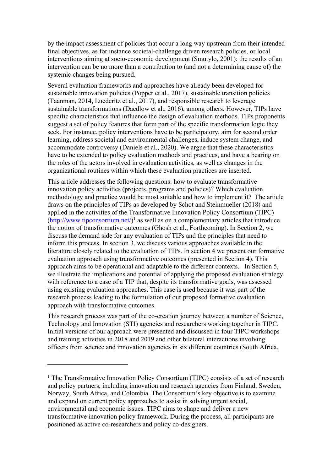by the impact assessment of policies that occur a long way upstream from their intended final objectives, as for instance societal-challenge driven research policies, or local interventions aiming at socio-economic development (Smutylo, 2001): the results of an intervention can be no more than a contribution to (and not a determining cause of) the systemic changes being pursued.

Several evaluation frameworks and approaches have already been developed for sustainable innovation policies (Popper et al., 2017), sustainable transition policies (Taanman, 2014, Luederitz et al., 2017), and responsible research to leverage sustainable transformations (Daedlow et al., 2016), among others. However, TIPs have specific characteristics that influence the design of evaluation methods. TIPs proponents suggest a set of policy features that form part of the specific transformation logic they seek. For instance, policy interventions have to be participatory, aim for second order learning, address societal and environmental challenges, induce system change, and accommodate controversy (Daniels et al., 2020). We argue that these characteristics have to be extended to policy evaluation methods and practices, and have a bearing on the roles of the actors involved in evaluation activities, as well as changes in the organizational routines within which these evaluation practices are inserted.

This article addresses the following questions: how to evaluate transformative innovation policy activities (projects, programs and policies)? Which evaluation methodology and practice would be most suitable and how to implement it? The article draws on the principles of TIPs as developed by Schot and Steinmueller (2018) and applied in the activities of the Transformative Innovation Policy Consortium (TIPC)  $(\frac{http://www.tipconsortium.net)}{$  as well as on a complementary articles that introducethe notion of transformative outcomes (Ghosh et al., Forthcoming). In Section 2, we discuss the demand side for any evaluation of TIPs and the principles that need to inform this process. In section 3, we discuss various approaches available in the literature closely related to the evaluation of TIPs. In section 4 we present our formative evaluation approach using transformative outcomes (presented in Section 4). This approach aims to be operational and adaptable to the different contexts. In Section 5, we illustrate the implications and potential of applying the proposed evaluation strategy with reference to a case of a TIP that, despite its transformative goals, was assessed using existing evaluation approaches. This case is used because it was part of the research process leading to the formulation of our proposed formative evaluation approach with transformative outcomes.

This research process was part of the co-creation journey between a number of Science, Technology and Innovation (STI) agencies and researchers working together in TIPC. Initial versions of our approach were presented and discussed in four TIPC workshops and training activities in 2018 and 2019 and other bilateral interactions involving officers from science and innovation agencies in six different countries (South Africa,

 $<sup>1</sup>$  The Transformative Innovation Policy Consortium (TIPC) consists of a set of research</sup> and policy partners, including innovation and research agencies from Finland, Sweden, Norway, South Africa, and Colombia. The Consortium's key objective is to examine and expand on current policy approaches to assist in solving urgent social, environmental and economic issues. TIPC aims to shape and deliver a new transformative innovation policy framework. During the process, all participants are positioned as active co-researchers and policy co-designers.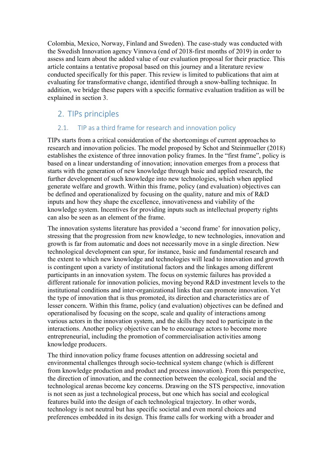Colombia, Mexico, Norway, Finland and Sweden). The case-study was conducted with the Swedish Innovation agency Vinnova (end of 2018-first months of 2019) in order to assess and learn about the added value of our evaluation proposal for their practice. This article contains a tentative proposal based on this journey and a literature review conducted specifically for this paper. This review is limited to publications that aim at evaluating for transformative change, identified through a snow-balling technique. In addition, we bridge these papers with a specific formative evaluation tradition as will be explained in section 3.

## 2. TIPs principles

#### 2.1. TIP as a third frame for research and innovation policy

TIPs starts from a critical consideration of the shortcomings of current approaches to research and innovation policies. The model proposed by Schot and Steinmueller (2018) establishes the existence of three innovation policy frames. In the "first frame", policy is based on a linear understanding of innovation; innovation emerges from a process that starts with the generation of new knowledge through basic and applied research, the further development of such knowledge into new technologies, which when applied generate welfare and growth. Within this frame, policy (and evaluation) objectives can be defined and operationalized by focusing on the quality, nature and mix of R&D inputs and how they shape the excellence, innovativeness and viability of the knowledge system. Incentives for providing inputs such as intellectual property rights can also be seen as an element of the frame.

The innovation systems literature has provided a 'second frame' for innovation policy, stressing that the progression from new knowledge, to new technologies, innovation and growth is far from automatic and does not necessarily move in a single direction. New technological development can spur, for instance, basic and fundamental research and the extent to which new knowledge and technologies will lead to innovation and growth is contingent upon a variety of institutional factors and the linkages among different participants in an innovation system. The focus on systemic failures has provided a different rationale for innovation policies, moving beyond R&D investment levels to the institutional conditions and inter-organizational links that can promote innovation. Yet the type of innovation that is thus promoted, its direction and characteristics are of lesser concern. Within this frame, policy (and evaluation) objectives can be defined and operationalised by focusing on the scope, scale and quality of interactions among various actors in the innovation system, and the skills they need to participate in the interactions. Another policy objective can be to encourage actors to become more entrepreneurial, including the promotion of commercialisation activities among knowledge producers.

The third innovation policy frame focuses attention on addressing societal and environmental challenges through socio-technical system change (which is different from knowledge production and product and process innovation). From this perspective, the direction of innovation, and the connection between the ecological, social and the technological arenas become key concerns. Drawing on the STS perspective, innovation is not seen as just a technological process, but one which has social and ecological features build into the design of each technological trajectory. In other words, technology is not neutral but has specific societal and even moral choices and preferences embedded in its design. This frame calls for working with a broader and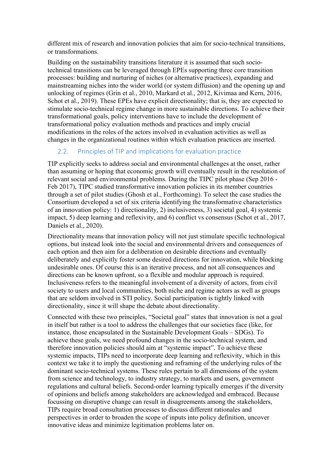different mix of research and innovation policies that aim for socio-technical transitions, or transformations.

Building on the sustainability transitions literature it is assumed that such sociotechnical transitions can be leveraged through EPEs supporting three core transition processes: building and nurturing of niches (or alternative practices), expanding and mainstreaming niches into the wider world (or system diffusion) and the opening up and unlocking of regimes (Grin et al., 2010, Markard et al., 2012, Kivimaa and Kern, 2016, Schot et al., 2019). These EPEs have explicit directionality; that is, they are expected to stimulate socio-technical regime change in more sustainable directions. To achieve their transformational goals, policy interventions have to include the development of transformational policy evaluation methods and practices and imply crucial modifications in the roles of the actors involved in evaluation activities as well as changes in the organizational routines within which evaluation practices are inserted.

#### 2.2. Principles of TIP and implications for evaluation practice

TIP explicitly seeks to address social and environmental challenges at the onset, rather than assuming or hoping that economic growth will eventually result in the resolution of relevant social and environmental problems. During the TIPC pilot phase (Sep 2016 - Feb 2017), TIPC studied transformative innovation policies in its member countries through a set of pilot studies (Ghosh et al., Forthcoming). To select the case studies the Consortium developed a set of six criteria identifying the transformative characteristics of an innovation policy: 1) directionality, 2) inclusiveness, 3) societal goal, 4) systemic impact, 5) deep learning and reflexivity, and 6) conflict vs consensus (Schot et al., 2017, Daniels et al., 2020).

Directionality means that innovation policy will not just stimulate specific technological options, but instead look into the social and environmental drivers and consequences of each option and then aim for a deliberation on desirable directions and eventually deliberately and explicitly foster some desired directions for innovation, while blocking undesirable ones. Of course this is an iterative process, and not all consequences and directions can be known upfront, so a flexible and modular approach is required. Inclusiveness refers to the meaningful involvement of a diversity of actors, from civil society to users and local communities, both niche and regime actors as well as groups that are seldom involved in STI policy. Social participation is tightly linked with directionality, since it will shape the debate about directionality.

Connected with these two principles, "Societal goal" states that innovation is not a goal in itself but rather is a tool to address the challenges that our societies face (like, for instance, those encapsulated in the Sustainable Development Goals – SDGs). To achieve these goals, we need profound changes in the socio-technical system, and therefore innovation policies should aim at "systemic impact". To achieve these systemic impacts, TIPs need to incorporate deep learning and reflexivity, which in this context we take it to imply the questioning and reframing of the underlying rules of the dominant socio-technical systems. These rules pertain to all dimensions of the system from science and technology, to industry strategy, to markets and users, government regulations and cultural beliefs. Second-order learning typically emerges if the diversity of opinions and beliefs among stakeholders are acknowledged and embraced. Because focussing on disruptive change can result in disagreements among the stakeholders, TIPs require broad consultation processes to discuss different rationales and perspectives in order to broaden the scope of inputs into policy definition, uncover innovative ideas and minimize legitimation problems later on.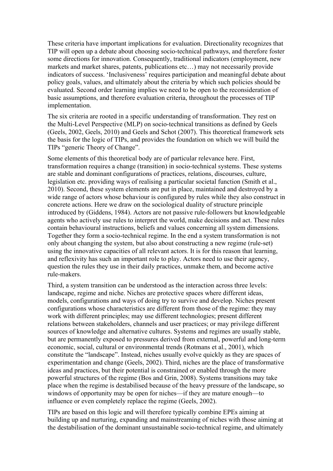These criteria have important implications for evaluation. Directionality recognizes that TIP will open up a debate about choosing socio-technical pathways, and therefore foster some directions for innovation. Consequently, traditional indicators (employment, new markets and market shares, patents, publications etc…) may not necessarily provide indicators of success. 'Inclusiveness' requires participation and meaningful debate about policy goals, values, and ultimately about the criteria by which such policies should be evaluated. Second order learning implies we need to be open to the reconsideration of basic assumptions, and therefore evaluation criteria, throughout the processes of TIP implementation.

The six criteria are rooted in a specific understanding of transformation. They rest on the Multi-Level Perspective (MLP) on socio-technical transitions as defined by Geels (Geels, 2002, Geels, 2010) and Geels and Schot (2007). This theoretical framework sets the basis for the logic of TIPs, and provides the foundation on which we will build the TIPs "generic Theory of Change".

Some elements of this theoretical body are of particular relevance here. First, transformation requires a change (transition) in socio-technical systems. These systems are stable and dominant configurations of practices, relations, discourses, culture, legislation etc. providing ways of realising a particular societal function (Smith et al., 2010). Second, these system elements are put in place, maintained and destroyed by a wide range of actors whose behaviour is configured by rules while they also construct in concrete actions. Here we draw on the sociological duality of structure principle introduced by (Giddens, 1984). Actors are not passive rule-followers but knowledgeable agents who actively use rules to interpret the world, make decisions and act. These rules contain behavioural instructions, beliefs and values concerning all system dimensions. Together they form a socio-technical regime. In the end a system transformation is not only about changing the system, but also about constructing a new regime (rule-set) using the innovative capacities of all relevant actors. It is for this reason that learning, and reflexivity has such an important role to play. Actors need to use their agency, question the rules they use in their daily practices, unmake them, and become active rule-makers.

Third, a system transition can be understood as the interaction across three levels: landscape, regime and niche. Niches are protective spaces where different ideas, models, configurations and ways of doing try to survive and develop. Niches present configurations whose characteristics are different from those of the regime: they may work with different principles; may use different technologies; present different relations between stakeholders, channels and user practices; or may privilege different sources of knowledge and alternative cultures. Systems and regimes are usually stable, but are permanently exposed to pressures derived from external, powerful and long-term economic, social, cultural or environmental trends (Rotmans et al., 2001), which constitute the "landscape". Instead, niches usually evolve quickly as they are spaces of experimentation and change (Geels, 2002). Third, niches are the place of transformative ideas and practices, but their potential is constrained or enabled through the more powerful structures of the regime (Bos and Grin, 2008). Systems transitions may take place when the regime is destabilised because of the heavy pressure of the landscape, so windows of opportunity may be open for niches—if they are mature enough—to influence or even completely replace the regime (Geels, 2002).

TIPs are based on this logic and will therefore typically combine EPEs aiming at building up and nurturing, expanding and mainstreaming of niches with those aiming at the destabilisation of the dominant unsustainable socio-technical regime, and ultimately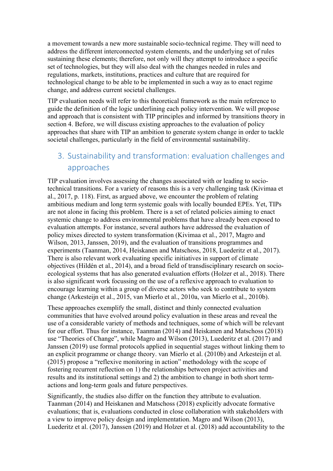a movement towards a new more sustainable socio-technical regime. They will need to address the different interconnected system elements, and the underlying set of rules sustaining these elements; therefore, not only will they attempt to introduce a specific set of technologies, but they will also deal with the changes needed in rules and regulations, markets, institutions, practices and culture that are required for technological change to be able to be implemented in such a way as to enact regime change, and address current societal challenges.

TIP evaluation needs will refer to this theoretical framework as the main reference to guide the definition of the logic underlining each policy intervention. We will propose and approach that is consistent with TIP principles and informed by transitions theory in section 4. Before, we will discuss existing approaches to the evaluation of policy approaches that share with TIP an ambition to generate system change in order to tackle societal challenges, particularly in the field of environmental sustainability.

# 3. Sustainability and transformation: evaluation challenges and approaches

TIP evaluation involves assessing the changes associated with or leading to sociotechnical transitions. For a variety of reasons this is a very challenging task (Kivimaa et al., 2017, p. 118). First, as argued above, we encounter the problem of relating ambitious medium and long term systemic goals with locally bounded EPEs. Yet, TIPs are not alone in facing this problem. There is a set of related policies aiming to enact systemic change to address environmental problems that have already been exposed to evaluation attempts. For instance, several authors have addressed the evaluation of policy mixes directed to system transformation (Kivimaa et al., 2017, Magro and Wilson, 2013, Janssen, 2019), and the evaluation of transitions programmes and experiments (Taanman, 2014, Heiskanen and Matschoss, 2018, Luederitz et al., 2017). There is also relevant work evaluating specific initiatives in support of climate objectives (Hildén et al., 2014), and a broad field of transdisciplinary research on socioecological systems that has also generated evaluation efforts (Holzer et al., 2018). There is also significant work focussing on the use of a reflexive approach to evaluation to encourage learning within a group of diverse actors who seek to contribute to system change (Arkesteijn et al., 2015, van Mierlo et al., 2010a, van Mierlo et al., 2010b).

These approaches exemplify the small, distinct and thinly connected evaluation communities that have evolved around policy evaluation in these areas and reveal the use of a considerable variety of methods and techniques, some of which will be relevant for our effort. Thus for instance, Taanman (2014) and Heiskanen and Matschoss (2018) use "Theories of Change", while Magro and Wilson (2013), Luederitz et al. (2017) and Janssen (2019) use formal protocols applied in sequential stages without linking them to an explicit programme or change theory. van Mierlo et al. (2010b) and Arkesteijn et al. (2015) propose a "reflexive monitoring in action" methodology with the scope of fostering recurrent reflection on 1) the relationships between project activities and results and its institutional settings and 2) the ambition to change in both short termactions and long-term goals and future perspectives.

Significantly, the studies also differ on the function they attribute to evaluation. Taanman (2014) and Heiskanen and Matschoss (2018) explicitly advocate formative evaluations; that is, evaluations conducted in close collaboration with stakeholders with a view to improve policy design and implementation. Magro and Wilson (2013), Luederitz et al. (2017), Janssen (2019) and Holzer et al. (2018) add accountability to the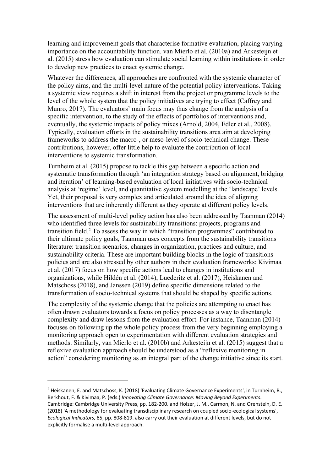learning and improvement goals that characterise formative evaluation, placing varying importance on the accountability function. van Mierlo et al. (2010a) and Arkesteijn et al. (2015) stress how evaluation can stimulate social learning within institutions in order to develop new practices to enact systemic change.

Whatever the differences, all approaches are confronted with the systemic character of the policy aims, and the multi-level nature of the potential policy interventions. Taking a systemic view requires a shift in interest from the project or programme levels to the level of the whole system that the policy initiatives are trying to effect (Caffrey and Munro, 2017). The evaluators' main focus may thus change from the analysis of a specific intervention, to the study of the effects of portfolios of interventions and, eventually, the systemic impacts of policy mixes (Arnold, 2004, Edler et al., 2008). Typically, evaluation efforts in the sustainability transitions area aim at developing frameworks to address the macro-, or meso-level of socio-technical change. These contributions, however, offer little help to evaluate the contribution of local interventions to systemic transformation.

Turnheim et al. (2015) propose to tackle this gap between a specific action and systematic transformation through 'an integration strategy based on alignment, bridging and iteration' of learning-based evaluation of local initiatives with socio-technical analysis at 'regime' level, and quantitative system modelling at the 'landscape' levels. Yet, their proposal is very complex and articulated around the idea of aligning interventions that are inherently different as they operate at different policy levels.

The assessment of multi-level policy action has also been addressed by Taanman (2014) who identified three levels for sustainability transitions: projects, programs and transition field.<sup>2</sup> To assess the way in which "transition programmes" contributed to their ultimate policy goals, Taanman uses concepts from the sustainability transitions literature: transition scenarios, changes in organization, practices and culture, and sustainability criteria. These are important building blocks in the logic of transitions policies and are also stressed by other authors in their evaluation frameworks: Kivimaa et al. (2017) focus on how specific actions lead to changes in institutions and organizations, while Hildén et al. (2014), Luederitz et al. (2017), Heiskanen and Matschoss (2018), and Janssen (2019) define specific dimensions related to the transformation of socio-technical systems that should be shaped by specific actions.

The complexity of the systemic change that the policies are attempting to enact has often drawn evaluators towards a focus on policy processes as a way to disentangle complexity and draw lessons from the evaluation effort. For instance, Taanman (2014) focuses on following up the whole policy process from the very beginning employing a monitoring approach open to experimentation with different evaluation strategies and methods. Similarly, van Mierlo et al. (2010b) and Arkesteijn et al. (2015) suggest that a reflexive evaluation approach should be understood as a "reflexive monitoring in action" considering monitoring as an integral part of the change initiative since its start.

 $^2$  Heiskanen, E. and Matschoss, K. (2018) 'Evaluating Climate Governance Experiments', in Turnheim, B., Berkhout, F. & Kivimaa, P. (eds.) *Innovating Climate Governance: Moving Beyond Experiments*. Cambridge: Cambridge University Press, pp. 182-200. and Holzer, J. M., Carmon, N. and Orenstein, D. E. (2018) 'A methodology for evaluating transdisciplinary research on coupled socio-ecological systems', *Ecological Indicators,* 85, pp. 808-819. also carry out their evaluation at different levels, but do not explicitly formalise a multi-level approach.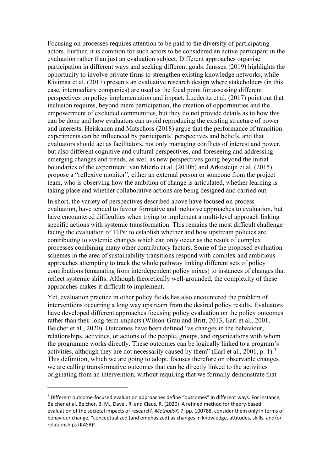Focusing on processes requires attention to be paid to the diversity of participating actors. Further, it is common for such actors to be considered an active participant in the evaluation rather than just an evaluation subject. Different approaches organise participation in different ways and seeking different goals. Janssen (2019) highlights the opportunity to involve private firms to strengthen existing knowledge networks, while Kivimaa et al. (2017) presents an evaluative research design where stakeholders (in this case, intermediary companies) are used as the focal point for assessing different perspectives on policy implementation and impact. Luederitz et al. (2017) point out that inclusion requires, beyond mere participation, the creation of opportunities and the empowerment of excluded communities, but they do not provide details as to how this can be done and how evaluators can avoid reproducing the existing structure of power and interests. Heiskanen and Matschoss (2018) argue that the performance of transition experiments can be influenced by participants' perspectives and beliefs, and that evaluators should act as facilitators, not only managing conflicts of interest and power, but also different cognitive and cultural perspectives, and foreseeing and addressing emerging changes and trends, as well as new perspectives going beyond the initial boundaries of the experiment. van Mierlo et al. (2010b) and Arkesteijn et al. (2015) propose a "reflexive monitor", either an external person or someone from the project team, who is observing how the ambition of change is articulated, whether learning is taking place and whether collaborative actions are being designed and carried out.

In short, the variety of perspectives described above have focused on process evaluation, have tended to favour formative and inclusive approaches to evaluation, but have encountered difficulties when trying to implement a multi-level approach linking specific actions with systemic transformation. This remains the most difficult challenge facing the evaluation of TIPs: to establish whether and how upstream policies are contributing to systemic changes which can only occur as the result of complex processes combining many other contributory factors. Some of the proposed evaluation schemes in the area of sustainability transitions respond with complex and ambitious approaches attempting to track the whole pathway linking different sets of policy contributions (emanating from interdependent policy mixes) to instances of changes that reflect systemic shifts. Although theoretically well-grounded, the complexity of these approaches makes it difficult to implement.

Yet, evaluation practice in other policy fields has also encountered the problem of interventions occurring a long way upstream from the desired policy results. Evaluators have developed different approaches focusing policy evaluation on the policy outcomes rather than their long-term impacts (Wilson-Grau and Britt, 2013, Earl et al., 2001, Belcher et al., 2020). Outcomes have been defined "as changes in the behaviour, relationships, activities, or actions of the people, groups, and organizations with whom the programme works directly. These outcomes can be logically linked to a program's activities, although they are not necessarily caused by them" (Earl et al., 2001, p. 1).<sup>3</sup> This definition, which we are going to adopt, focuses therefore on observable changes we are calling transformative outcomes that can be directly linked to the activities originating from an intervention, without requiring that we formally demonstrate that

<sup>&</sup>lt;sup>3</sup> Different outcome-focused evaluation approaches define "outcomes" in different ways. For instance, Belcher et al. Belcher, B. M., Davel, R. and Claus, R. (2020) 'A refined method for theory-based evaluation of the societal impacts of research', *MethodsX,* 7, pp. 100788. consider them only in terms of behaviour change, "conceptualized (and emphasized) as changes in knowledge, attitudes, skills, and/or relationships (KASR)".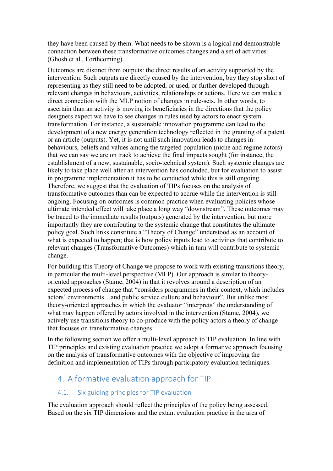they have been caused by them. What needs to be shown is a logical and demonstrable connection between these transformative outcomes changes and a set of activities (Ghosh et al., Forthcoming).

Outcomes are distinct from outputs: the direct results of an activity supported by the intervention. Such outputs are directly caused by the intervention, buy they stop short of representing as they still need to be adopted, or used, or further developed through relevant changes in behaviours, activities, relationships or actions. Here we can make a direct connection with the MLP notion of changes in rule-sets. In other words, to ascertain than an activity is moving its beneficiaries in the directions that the policy designers expect we have to see changes in rules used by actors to enact system transformation. For instance, a sustainable innovation programme can lead to the development of a new energy generation technology reflected in the granting of a patent or an article (outputs). Yet, it is not until such innovation leads to changes in behaviours, beliefs and values among the targeted population (niche and regime actors) that we can say we are on track to achieve the final impacts sought (for instance, the establishment of a new, sustainable, socio-technical system). Such systemic changes are likely to take place well after an intervention has concluded, but for evaluation to assist in programme implementation it has to be conducted while this is still ongoing. Therefore, we suggest that the evaluation of TIPs focuses on the analysis of transformative outcomes than can be expected to accrue while the intervention is still ongoing. Focusing on outcomes is common practice when evaluating policies whose ultimate intended effect will take place a long way "downstream". These outcomes may be traced to the immediate results (outputs) generated by the intervention, but more importantly they are contributing to the systemic change that constitutes the ultimate policy goal. Such links constitute a "Theory of Change" understood as an account of what is expected to happen; that is how policy inputs lead to activities that contribute to relevant changes (Transformative Outcomes) which in turn will contribute to systemic change.

For building this Theory of Change we propose to work with existing transitions theory, in particular the multi-level perspective (MLP). Our approach is similar to theoryoriented approaches (Stame, 2004) in that it revolves around a description of an expected process of change that "considers programmes in their context, which includes actors' environments…and public service culture and behaviour". But unlike most theory-oriented approaches in which the evaluator "interprets" the understanding of what may happen offered by actors involved in the intervention (Stame, 2004), we actively use transitions theory to co-produce with the policy actors a theory of change that focuses on transformative changes.

In the following section we offer a multi-level approach to TIP evaluation. In line with TIP principles and existing evaluation practice we adopt a formative approach focusing on the analysis of transformative outcomes with the objective of improving the definition and implementation of TIPs through participatory evaluation techniques.

## 4. A formative evaluation approach for TIP

#### 4.1. Six guiding principles for TIP evaluation

The evaluation approach should reflect the principles of the policy being assessed. Based on the six TIP dimensions and the extant evaluation practice in the area of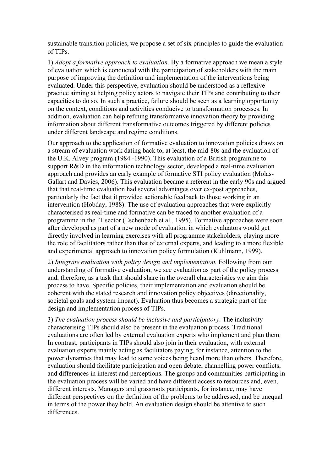sustainable transition policies, we propose a set of six principles to guide the evaluation of TIPs.

1) *Adopt a formative approach to evaluation.* By a formative approach we mean a style of evaluation which is conducted with the participation of stakeholders with the main purpose of improving the definition and implementation of the interventions being evaluated. Under this perspective, evaluation should be understood as a reflexive practice aiming at helping policy actors to navigate their TIPs and contributing to their capacities to do so. In such a practice, failure should be seen as a learning opportunity on the context, conditions and activities conducive to transformation processes. In addition, evaluation can help refining transformative innovation theory by providing information about different transformative outcomes triggered by different policies under different landscape and regime conditions.

Our approach to the application of formative evaluation to innovation policies draws on a stream of evaluation work dating back to, at least, the mid-80s and the evaluation of the U.K. Alvey program (1984 -1990). This evaluation of a British programme to support R&D in the information technology sector, developed a real-time evaluation approach and provides an early example of formative STI policy evaluation (Molas-Gallart and Davies, 2006). This evaluation became a referent in the early 90s and argued that that real-time evaluation had several advantages over ex-post approaches, particularly the fact that it provided actionable feedback to those working in an intervention (Hobday, 1988). The use of evaluation approaches that were explicitly characterised as real-time and formative can be traced to another evaluation of a programme in the IT sector (Eschenbach et al., 1995). Formative approaches were soon after developed as part of a new mode of evaluation in which evaluators would get directly involved in learning exercises with all programme stakeholders, playing more the role of facilitators rather than that of external experts, and leading to a more flexible and experimental approach to innovation policy formulation (Kuhlmann, 1999).

2) *Integrate evaluation with policy design and implementation.* Following from our understanding of formative evaluation, we see evaluation as part of the policy process and, therefore, as a task that should share in the overall characteristics we aim this process to have. Specific policies, their implementation and evaluation should be coherent with the stated research and innovation policy objectives (directionality, societal goals and system impact). Evaluation thus becomes a strategic part of the design and implementation process of TIPs.

3) *The evaluation process should be inclusive and participatory*. The inclusivity characterising TIPs should also be present in the evaluation process. Traditional evaluations are often led by external evaluation experts who implement and plan them. In contrast, participants in TIPs should also join in their evaluation, with external evaluation experts mainly acting as facilitators paying, for instance, attention to the power dynamics that may lead to some voices being heard more than others. Therefore, evaluation should facilitate participation and open debate, channelling power conflicts, and differences in interest and perceptions. The groups and communities participating in the evaluation process will be varied and have different access to resources and, even, different interests. Managers and grassroots participants, for instance, may have different perspectives on the definition of the problems to be addressed, and be unequal in terms of the power they hold. An evaluation design should be attentive to such differences.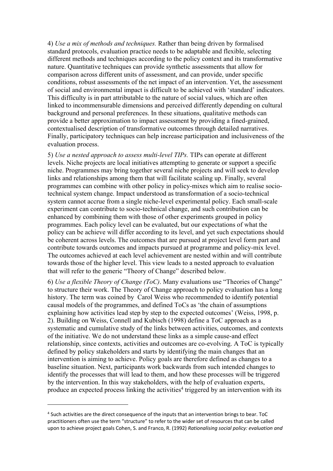4) *Use a mix of methods and techniques.* Rather than being driven by formalised standard protocols, evaluation practice needs to be adaptable and flexible, selecting different methods and techniques according to the policy context and its transformative nature. Quantitative techniques can provide synthetic assessments that allow for comparison across different units of assessment, and can provide, under specific conditions, robust assessments of the net impact of an intervention. Yet, the assessment of social and environmental impact is difficult to be achieved with 'standard' indicators. This difficulty is in part attributable to the nature of social values, which are often linked to incommensurable dimensions and perceived differently depending on cultural background and personal preferences. In these situations, qualitative methods can provide a better approximation to impact assessment by providing a fined-grained, contextualised description of transformative outcomes through detailed narratives. Finally, participatory techniques can help increase participation and inclusiveness of the evaluation process.

5) *Use a nested approach to assess multi-level TIPs.* TIPs can operate at different levels. Niche projects are local initiatives attempting to generate or support a specific niche. Programmes may bring together several niche projects and will seek to develop links and relationships among them that will facilitate scaling up. Finally, several programmes can combine with other policy in policy-mixes which aim to realise sociotechnical system change. Impact understood as transformation of a socio-technical system cannot accrue from a single niche-level experimental policy. Each small-scale experiment can contribute to socio-technical change, and such contribution can be enhanced by combining them with those of other experiments grouped in policy programmes. Each policy level can be evaluated, but our expectations of what the policy can be achieve will differ according to its level, and yet such expectations should be coherent across levels. The outcomes that are pursued at project level form part and contribute towards outcomes and impacts pursued at programme and policy-mix level. The outcomes achieved at each level achievement are nested within and will contribute towards those of the higher level. This view leads to a nested approach to evaluation that will refer to the generic "Theory of Change" described below.

6) *Use a flexible Theory of Change (ToC)*. Many evaluations use "Theories of Change" to structure their work. The Theory of Change approach to policy evaluation has a long history. The term was coined by Carol Weiss who recommended to identify potential causal models of the programmes, and defined ToCs as 'the chain of assumptions explaining how activities lead step by step to the expected outcomes' (Weiss, 1998, p. 2). Building on Weiss, Connell and Kubisch (1998) define a ToC approach as a systematic and cumulative study of the links between activities, outcomes, and contexts of the initiative. We do not understand these links as a simple cause-and effect relationship, since contexts, activities and outcomes are co-evolving. A ToC is typically defined by policy stakeholders and starts by identifying the main changes that an intervention is aiming to achieve. Policy goals are therefore defined as changes to a baseline situation. Next, participants work backwards from such intended changes to identify the processes that will lead to them, and how these processes will be triggered by the intervention. In this way stakeholders, with the help of evaluation experts, produce an expected process linking the activities<sup>4</sup> triggered by an intervention with its

<sup>4</sup> Such activities are the direct consequence of the inputs that an intervention brings to bear. ToC practitioners often use the term "structure" to refer to the wider set of resources that can be called upon to achieve project goals Cohen, S. and Franco, R. (1992) *Rationalising social policy: evaluation and*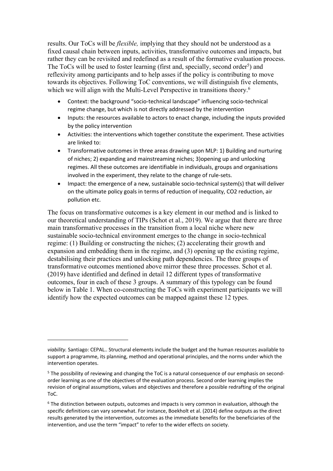results. Our ToCs will be *flexible,* implying that they should not be understood as a fixed causal chain between inputs, activities, transformative outcomes and impacts, but rather they can be revisited and redefined as a result of the formative evaluation process. The ToCs will be used to foster learning (first and, specially, second order<sup>5</sup>) and reflexivity among participants and to help asses if the policy is contributing to move towards its objectives. Following ToC conventions, we will distinguish five elements, which we will align with the Multi-Level Perspective in transitions theory.<sup>6</sup>

- Context: the background "socio-technical landscape" influencing socio-technical regime change, but which is not directly addressed by the intervention
- Inputs: the resources available to actors to enact change, including the inputs provided by the policy intervention
- Activities: the interventions which together constitute the experiment. These activities are linked to:
- Transformative outcomes in three areas drawing upon MLP: 1) Building and nurturing of niches; 2) expanding and mainstreaming niches; 3)opening up and unlocking regimes. All these outcomes are identifiable in individuals, groups and organisations involved in the experiment, they relate to the change of rule-sets.
- Impact: the emergence of a new, sustainable socio-technical system(s) that will deliver on the ultimate policy goals in terms of reduction of inequality, CO2 reduction, air pollution etc.

The focus on transformative outcomes is a key element in our method and is linked to our theoretical understanding of TIPs (Schot et al., 2019). We argue that there are three main transformative processes in the transition from a local niche where new sustainable socio-technical environment emerges to the change in socio-technical regime: (1) Building or constructing the niches; (2) accelerating their growth and expansion and embedding them in the regime, and (3) opening up the existing regime, destabilising their practices and unlocking path dependencies. The three groups of transformative outcomes mentioned above mirror these three processes. Schot et al. (2019) have identified and defined in detail 12 different types of transformative outcomes, four in each of these 3 groups. A summary of this typology can be found below in Table 1. When co-constructing the ToCs with experiment participants we will identify how the expected outcomes can be mapped against these 12 types.

*viability.* Santiago: CEPAL.. Structural elements include the budget and the human resources available to support a programme, its planning, method and operational principles, and the norms under which the intervention operates.

 $<sup>5</sup>$  The possibility of reviewing and changing the ToC is a natural consequence of our emphasis on second-</sup> order learning as one of the objectives of the evaluation process. Second order learning implies the revision of original assumptions, values and objectives and therefore a possible redrafting of the original ToC.

 $6$  The distinction between outputs, outcomes and impacts is very common in evaluation, although the specific definitions can vary somewhat. For instance, Boekholt et al. (2014) define outputs as the direct results generated by the intervention, outcomes as the immediate benefits for the beneficiaries of the intervention, and use the term "impact" to refer to the wider effects on society.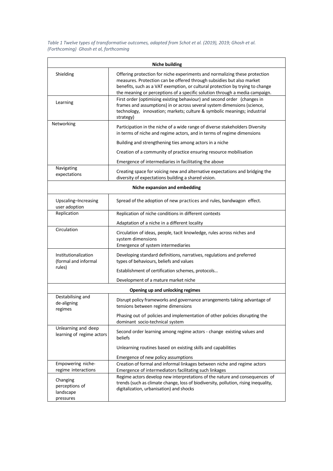*Table 1 Twelve types of transformative outcomes, adapted from Schot et al. (2019), 2019; Ghosh et al. (Forthcoming) Ghosh et al, forthcoming*

| <b>Niche building</b>                                  |                                                                                                                                                                                                                                                                                                                     |
|--------------------------------------------------------|---------------------------------------------------------------------------------------------------------------------------------------------------------------------------------------------------------------------------------------------------------------------------------------------------------------------|
| Shielding                                              | Offering protection for niche experiments and normalizing these protection<br>measures. Protection can be offered through subsidies but also market<br>benefits, such as a VAT exemption, or cultural protection by trying to change<br>the meaning or perceptions of a specific solution through a media campaign. |
| Learning                                               | First order (optimising existing behaviour) and second order (changes in<br>frames and assumptions) in or across several system dimensions (science,<br>technology, innovation; markets; culture & symbolic meanings; industrial<br>strategy)                                                                       |
| Networking                                             | Participation in the niche of a wide range of diverse stakeholders Diversity<br>in terms of niche and regime actors, and in terms of regime dimensions                                                                                                                                                              |
|                                                        | Building and strengthening ties among actors in a niche                                                                                                                                                                                                                                                             |
|                                                        | Creation of a community of practice ensuring resource mobilisation                                                                                                                                                                                                                                                  |
|                                                        | Emergence of intermediaries in facilitating the above                                                                                                                                                                                                                                                               |
| Navigating<br>expectations                             | Creating space for voicing new and alternative expectations and bridging the<br>diversity of expectations building a shared vision.                                                                                                                                                                                 |
| Niche expansion and embedding                          |                                                                                                                                                                                                                                                                                                                     |
| Upscaling-Increasing<br>user adoption                  | Spread of the adoption of new practices and rules, bandwagon effect.                                                                                                                                                                                                                                                |
| Replication                                            | Replication of niche conditions in different contexts                                                                                                                                                                                                                                                               |
|                                                        | Adaptation of a niche in a different locality                                                                                                                                                                                                                                                                       |
| Circulation                                            | Circulation of ideas, people, tacit knowledge, rules across niches and<br>system dimensions<br>Emergence of system intermediaries                                                                                                                                                                                   |
| Institutionalization<br>(formal and informal<br>rules) | Developing standard definitions, narratives, regulations and preferred<br>types of behaviours, beliefs and values                                                                                                                                                                                                   |
|                                                        | Establishment of certification schemes, protocols                                                                                                                                                                                                                                                                   |
|                                                        | Development of a mature market niche                                                                                                                                                                                                                                                                                |
| Opening up and unlocking regimes                       |                                                                                                                                                                                                                                                                                                                     |
| Destabilising and<br>de-aligning<br>regimes            | Disrupt policy frameworks and governance arrangements taking advantage of<br>tensions between regime dimensions                                                                                                                                                                                                     |
|                                                        | Phasing out of policies and implementation of other policies disrupting the<br>dominant socio-technical system                                                                                                                                                                                                      |
| Unlearning and deep<br>learning of regime actors       | Second order learning among regime actors - change existing values and<br>beliefs                                                                                                                                                                                                                                   |
|                                                        | Unlearning routines based on existing skills and capabilities                                                                                                                                                                                                                                                       |
|                                                        | Emergence of new policy assumptions                                                                                                                                                                                                                                                                                 |
| Empowering niche-<br>regime interactions               | Creation of formal and informal linkages between niche and regime actors<br>Emergence of intermediators facilitating such linkages                                                                                                                                                                                  |
| Changing<br>perceptions of<br>landscape<br>pressures   | Regime actors develop new interpretations of the nature and consequences of<br>trends (such as climate change, loss of biodiversity, pollution, rising inequality,<br>digitalization, urbanisation) and shocks                                                                                                      |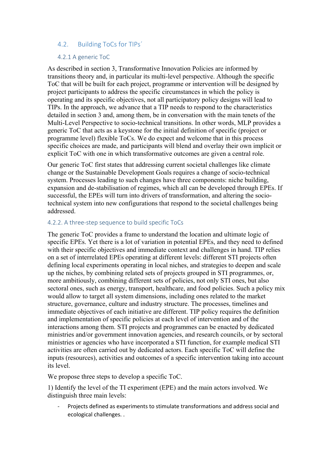#### 4.2. Building ToCs for TIPs´

#### 4.2.1 A generic ToC

As described in section 3, Transformative Innovation Policies are informed by transitions theory and, in particular its multi-level perspective. Although the specific ToC that will be built for each project, programme or intervention will be designed by project participants to address the specific circumstances in which the policy is operating and its specific objectives, not all participatory policy designs will lead to TIPs. In the approach, we advance that a TIP needs to respond to the characteristics detailed in section 3 and, among them, be in conversation with the main tenets of the Multi-Level Perspective to socio-technical transitions. In other words, MLP provides a generic ToC that acts as a keystone for the initial definition of specific (project or programme level) flexible ToCs. We do expect and welcome that in this process specific choices are made, and participants will blend and overlay their own implicit or explicit ToC with one in which transformative outcomes are given a central role.

Our generic ToC first states that addressing current societal challenges like climate change or the Sustainable Development Goals requires a change of socio-technical system. Processes leading to such changes have three components: niche building, expansion and de-stabilisation of regimes, which all can be developed through EPEs. If successful, the EPEs will turn into drivers of transformation, and altering the sociotechnical system into new configurations that respond to the societal challenges being addressed.

#### 4.2.2. A three-step sequence to build specific ToCs

The generic ToC provides a frame to understand the location and ultimate logic of specific EPEs. Yet there is a lot of variation in potential EPEs, and they need to defined with their specific objectives and immediate context and challenges in hand. TIP relies on a set of interrelated EPEs operating at different levels: different STI projects often defining local experiments operating in local niches, and strategies to deepen and scale up the niches, by combining related sets of projects grouped in STI programmes, or, more ambitiously, combining different sets of policies, not only STI ones, but also sectoral ones, such as energy, transport, healthcare, and food policies. Such a policy mix would allow to target all system dimensions, including ones related to the market structure, governance, culture and industry structure. The processes, timelines and immediate objectives of each initiative are different. TIP policy requires the definition and implementation of specific policies at each level of intervention and of the interactions among them. STI projects and programmes can be enacted by dedicated ministries and/or government innovation agencies, and research councils, or by sectoral ministries or agencies who have incorporated a STI function, for example medical STI activities are often carried out by dedicated actors. Each specific ToC will define the inputs (resources), activities and outcomes of a specific intervention taking into account its level.

We propose three steps to develop a specific ToC.

1) Identify the level of the TI experiment (EPE) and the main actors involved. We distinguish three main levels:

Projects defined as experiments to stimulate transformations and address social and ecological challenges. .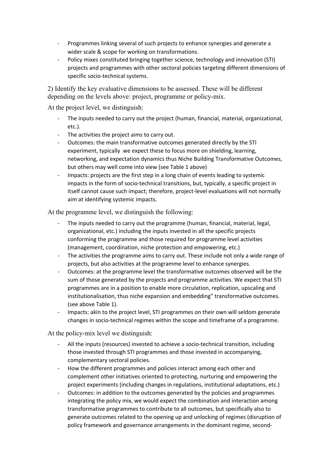- Programmes linking several of such projects to enhance synergies and generate a wider scale & scope for working on transformations.
- Policy mixes constituted bringing together science, technology and innovation (STI) projects and programmes with other sectoral policies targeting different dimensions of specific socio-technical systems.

2) Identify the key evaluative dimensions to be assessed. These will be different depending on the levels above: project, programme or policy-mix.

At the project level, we distinguish:

- The inputs needed to carry out the project (human, financial, material, organizational, etc.).
- The activities the project aims to carry out.
- Outcomes: the main transformative outcomes generated directly by the STI experiment, typically we expect these to focus more on shielding, learning, networking, and expectation dynamics thus Niche Building Transformative Outcomes, but others may well come into view (see Table 1 above)
- Impacts: projects are the first step in a long chain of events leading to systemic impacts in the form of socio-technical transitions, but, typically, a specific project in itself cannot cause such impact; therefore, project-level evaluations will not normally aim at identifying systemic impacts.

At the programme level, we distinguish the following:

- The inputs needed to carry out the programme (human, financial, material, legal, organizational, etc.) including the inputs invested in all the specific projects conforming the programme and those required for programme level activities (management, coordination, niche protection and empowering, etc.)
- The activities the programme aims to carry out. These include not only a wide range of projects, but also activities at the programme level to enhance synergies.
- Outcomes: at the programme level the transformative outcomes observed will be the sum of those generated by the projects and programme activities. We expect that STI programmes are in a position to enable more circulation, replication, upscaling and institutionalisation, thus niche expansion and embedding" transformative outcomes. (see above Table 1).
- Impacts: akin to the project level, STI programmes on their own will seldom generate changes in socio-technical regimes within the scope and timeframe of a programme.

At the policy-mix level we distinguish:

- All the inputs (resources) invested to achieve a socio-technical transition, including those invested through STI programmes and those invested in accompanying, complementary sectoral policies.
- How the different programmes and policies interact among each other and complement other initiatives oriented to protecting, nurturing and empowering the project experiments (including changes in regulations, institutional adaptations, etc.)
- Outcomes: in addition to the outcomes generated by the policies and programmes integrating the policy mix, we would expect the combination and interaction among transformative programmes to contribute to all outcomes, but specifically also to generate outcomes related to the opening up and unlocking of regimes (disruption of policy framework and governance arrangements in the dominant regime, second-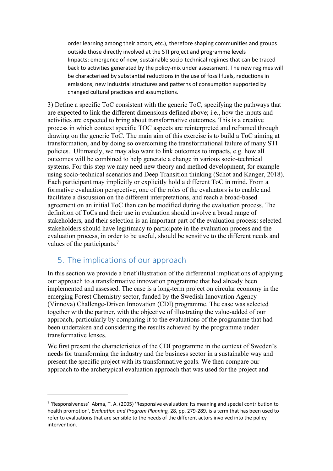order learning among their actors, etc.), therefore shaping communities and groups outside those directly involved at the STI project and programme levels

- Impacts: emergence of new, sustainable socio-technical regimes that can be traced back to activities generated by the policy-mix under assessment. The new regimes will be characterised by substantial reductions in the use of fossil fuels, reductions in emissions, new industrial structures and patterns of consumption supported by changed cultural practices and assumptions.

3) Define a specific ToC consistent with the generic ToC, specifying the pathways that are expected to link the different dimensions defined above; i.e., how the inputs and activities are expected to bring about transformative outcomes. This is a creative process in which context specific TOC aspects are reinterpreted and reframed through drawing on the generic ToC. The main aim of this exercise is to build a ToC aiming at transformation, and by doing so overcoming the transformational failure of many STI policies. Ultimately, we may also want to link outcomes to impacts, e.g. how all outcomes will be combined to help generate a change in various socio-technical systems. For this step we may need new theory and method development, for example using socio-technical scenarios and Deep Transition thinking (Schot and Kanger, 2018). Each participant may implicitly or explicitly hold a different ToC in mind. From a formative evaluation perspective, one of the roles of the evaluators is to enable and facilitate a discussion on the different interpretations, and reach a broad-based agreement on an initial ToC than can be modified during the evaluation process. The definition of ToCs and their use in evaluation should involve a broad range of stakeholders, and their selection is an important part of the evaluation process: selected stakeholders should have legitimacy to participate in the evaluation process and the evaluation process, in order to be useful, should be sensitive to the different needs and values of the participants.<sup>7</sup>

## 5. The implications of our approach

In this section we provide a brief illustration of the differential implications of applying our approach to a transformative innovation programme that had already been implemented and assessed. The case is a long-term project on circular economy in the emerging Forest Chemistry sector, funded by the Swedish Innovation Agency (Vinnova) Challenge-Driven Innovation (CDI) programme. The case was selected together with the partner, with the objective of illustrating the value-added of our approach, particularly by comparing it to the evaluations of the programme that had been undertaken and considering the results achieved by the programme under transformative lenses.

We first present the characteristics of the CDI programme in the context of Sweden's needs for transforming the industry and the business sector in a sustainable way and present the specific project with its transformative goals. We then compare our approach to the archetypical evaluation approach that was used for the project and

 $7$  'Responsiveness' Abma, T. A. (2005) 'Responsive evaluation: Its meaning and special contribution to health promotion', *Evaluation and Program Planning,* 28, pp. 279-289. is a term that has been used to refer to evaluations that are sensible to the needs of the different actors involved into the policy intervention.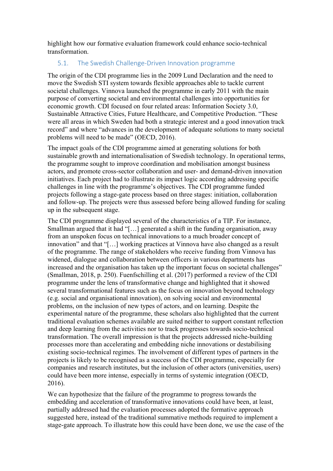highlight how our formative evaluation framework could enhance socio-technical transformation.

#### 5.1. The Swedish Challenge-Driven Innovation programme

The origin of the CDI programme lies in the 2009 Lund Declaration and the need to move the Swedish STI system towards flexible approaches able to tackle current societal challenges. Vinnova launched the programme in early 2011 with the main purpose of converting societal and environmental challenges into opportunities for economic growth. CDI focused on four related areas: Information Society 3.0, Sustainable Attractive Cities, Future Healthcare, and Competitive Production. "These were all areas in which Sweden had both a strategic interest and a good innovation track record" and where "advances in the development of adequate solutions to many societal problems will need to be made" (OECD, 2016).

The impact goals of the CDI programme aimed at generating solutions for both sustainable growth and internationalisation of Swedish technology. In operational terms, the programme sought to improve coordination and mobilisation amongst business actors, and promote cross-sector collaboration and user- and demand-driven innovation initiatives. Each project had to illustrate its impact logic according addressing specific challenges in line with the programme's objectives. The CDI programme funded projects following a stage-gate process based on three stages: initiation, collaboration and follow-up. The projects were thus assessed before being allowed funding for scaling up in the subsequent stage.

The CDI programme displayed several of the characteristics of a TIP. For instance, Smallman argued that it had "[…] generated a shift in the funding organisation, away from an unspoken focus on technical innovations to a much broader concept of innovation" and that "[…] working practices at Vinnova have also changed as a result of the programme. The range of stakeholders who receive funding from Vinnova has widened, dialogue and collaboration between officers in various departments has increased and the organisation has taken up the important focus on societal challenges" (Smallman, 2018, p. 250). Fuenfschilling et al. (2017) performed a review of the CDI programme under the lens of transformative change and highlighted that it showed several transformational features such as the focus on innovation beyond technology (e.g. social and organisational innovation), on solving social and environmental problems, on the inclusion of new types of actors, and on learning. Despite the experimental nature of the programme, these scholars also highlighted that the current traditional evaluation schemes available are suited neither to support constant reflection and deep learning from the activities nor to track progresses towards socio-technical transformation. The overall impression is that the projects addressed niche-building processes more than accelerating and embedding niche innovations or destabilising existing socio-technical regimes. The involvement of different types of partners in the projects is likely to be recognised as a success of the CDI programme, especially for companies and research institutes, but the inclusion of other actors (universities, users) could have been more intense, especially in terms of systemic integration (OECD, 2016).

We can hypothesize that the failure of the programme to progress towards the embedding and acceleration of transformative innovations could have been, at least, partially addressed had the evaluation processes adopted the formative approach suggested here, instead of the traditional summative methods required to implement a stage-gate approach. To illustrate how this could have been done, we use the case of the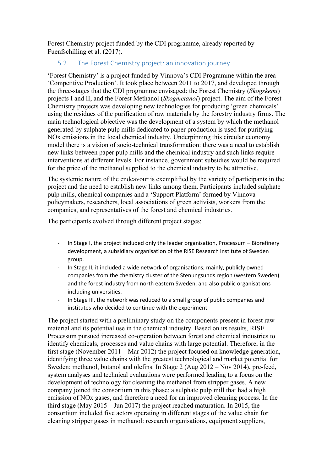Forest Chemistry project funded by the CDI programme, already reported by Fuenfschilling et al. (2017).

#### 5.2. The Forest Chemistry project: an innovation journey

'Forest Chemistry' is a project funded by Vinnova's CDI Programme within the area 'Competitive Production'. It took place between 2011 to 2017, and developed through the three-stages that the CDI programme envisaged: the Forest Chemistry (*Skogskemi*) projects I and II, and the Forest Methanol (*Skogmetanol*) project. The aim of the Forest Chemistry projects was developing new technologies for producing 'green chemicals' using the residues of the purification of raw materials by the forestry industry firms. The main technological objective was the development of a system by which the methanol generated by sulphate pulp mills dedicated to paper production is used for purifying NOx emissions in the local chemical industry. Underpinning this circular economy model there is a vision of socio-technical transformation: there was a need to establish new links between paper pulp mills and the chemical industry and such links require interventions at different levels. For instance, government subsidies would be required for the price of the methanol supplied to the chemical industry to be attractive.

The systemic nature of the endeavour is exemplified by the variety of participants in the project and the need to establish new links among them. Participants included sulphate pulp mills, chemical companies and a 'Support Platform' formed by Vinnova policymakers, researchers, local associations of green activists, workers from the companies, and representatives of the forest and chemical industries.

The participants evolved through different project stages:

- In Stage I, the project included only the leader organisation, Processum Biorefinery development, a subsidiary organisation of the RISE Research Institute of Sweden group.
- In Stage II, it included a wide network of organisations; mainly, publicly owned companies from the chemistry cluster of the Stenungsunds region (western Sweden) and the forest industry from north eastern Sweden, and also public organisations including universities.
- In Stage III, the network was reduced to a small group of public companies and institutes who decided to continue with the experiment.

The project started with a preliminary study on the components present in forest raw material and its potential use in the chemical industry. Based on its results, RISE Processum pursued increased co-operation between forest and chemical industries to identify chemicals, processes and value chains with large potential. Therefore, in the first stage (November 2011 – Mar 2012) the project focused on knowledge generation, identifying three value chains with the greatest technological and market potential for Sweden: methanol, butanol and olefins. In Stage 2 (Aug 2012 – Nov 2014), pre-feed, system analyses and technical evaluations were performed leading to a focus on the development of technology for cleaning the methanol from stripper gases. A new company joined the consortium in this phase: a sulphate pulp mill that had a high emission of NOx gases, and therefore a need for an improved cleaning process. In the third stage (May 2015 – Jun 2017) the project reached maturation. In 2015, the consortium included five actors operating in different stages of the value chain for cleaning stripper gases in methanol: research organisations, equipment suppliers,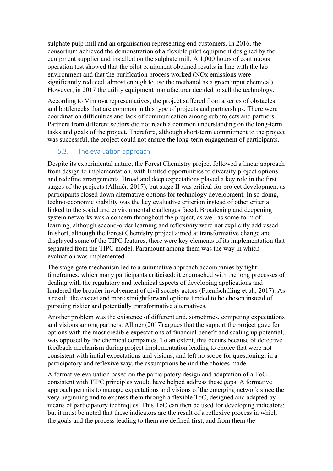sulphate pulp mill and an organisation representing end customers. In 2016, the consortium achieved the demonstration of a flexible pilot equipment designed by the equipment supplier and installed on the sulphate mill. A 1,000 hours of continuous operation test showed that the pilot equipment obtained results in line with the lab environment and that the purification process worked (NOx emissions were significantly reduced, almost enough to use the methanol as a green input chemical). However, in 2017 the utility equipment manufacturer decided to sell the technology.

According to Vinnova representatives, the project suffered from a series of obstacles and bottlenecks that are common in this type of projects and partnerships. There were coordination difficulties and lack of communication among subprojects and partners. Partners from different sectors did not reach a common understanding on the long-term tasks and goals of the project. Therefore, although short-term commitment to the project was successful, the project could not ensure the long-term engagement of participants.

#### 5.3. The evaluation approach

Despite its experimental nature, the Forest Chemistry project followed a linear approach from design to implementation, with limited opportunities to diversify project options and redefine arrangements. Broad and deep expectations played a key role in the first stages of the projects (Allmér, 2017), but stage II was critical for project development as participants closed down alternative options for technology development. In so doing, techno-economic viability was the key evaluative criterion instead of other criteria linked to the social and environmental challenges faced. Broadening and deepening system networks was a concern throughout the project, as well as some form of learning, although second-order learning and reflexivity were not explicitly addressed. In short, although the Forest Chemistry project aimed at transformative change and displayed some of the TIPC features, there were key elements of its implementation that separated from the TIPC model. Paramount among them was the way in which evaluation was implemented.

The stage-gate mechanism led to a summative approach accompanies by tight timeframes, which many participants criticised: it encroached with the long processes of dealing with the regulatory and technical aspects of developing applications and hindered the broader involvement of civil society actors (Fuenfschilling et al., 2017). As a result, the easiest and more straightforward options tended to be chosen instead of pursuing riskier and potentially transformative alternatives.

Another problem was the existence of different and, sometimes, competing expectations and visions among partners. Allmér (2017) argues that the support the project gave for options with the most credible expectations of financial benefit and scaling up potential, was opposed by the chemical companies. To an extent, this occurs because of defective feedback mechanism during project implementation leading to choice that were not consistent with initial expectations and visions, and left no scope for questioning, in a participatory and reflexive way, the assumptions behind the choices made.

A formative evaluation based on the participatory design and adaptation of a ToC consistent with TIPC principles would have helped address these gaps. A formative approach permits to manage expectations and visions of the emerging network since the very beginning and to express them through a flexible ToC, designed and adapted by means of participatory techniques. This ToC can then be used for developing indicators; but it must be noted that these indicators are the result of a reflexive process in which the goals and the process leading to them are defined first, and from them the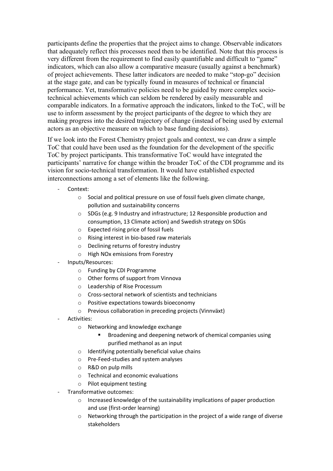participants define the properties that the project aims to change. Observable indicators that adequately reflect this processes need then to be identified. Note that this process is very different from the requirement to find easily quantifiable and difficult to "game" indicators, which can also allow a comparative measure (usually against a benchmark) of project achievements. These latter indicators are needed to make "stop-go" decision at the stage gate, and can be typically found in measures of technical or financial performance. Yet, transformative policies need to be guided by more complex sociotechnical achievements which can seldom be rendered by easily measurable and comparable indicators. In a formative approach the indicators, linked to the ToC, will be use to inform assessment by the project participants of the degree to which they are making progress into the desired trajectory of change (instead of being used by external actors as an objective measure on which to base funding decisions).

If we look into the Forest Chemistry project goals and context, we can draw a simple ToC that could have been used as the foundation for the development of the specific ToC by project participants. This transformative ToC would have integrated the participants' narrative for change within the broader ToC of the CDI programme and its vision for socio-technical transformation. It would have established expected interconnections among a set of elements like the following.

- Context:
	- o Social and political pressure on use of fossil fuels given climate change, pollution and sustainability concerns
	- o SDGs (e.g. 9 Industry and infrastructure; 12 Responsible production and consumption, 13 Climate action) and Swedish strategy on SDGs
	- o Expected rising price of fossil fuels
	- o Rising interest in bio-based raw materials
	- o Declining returns of forestry industry
	- o High NOx emissions from Forestry
- Inputs/Resources:
	- o Funding by CDI Programme
	- o Other forms of support from Vinnova
	- o Leadership of Rise Processum
	- o Cross-sectoral network of scientists and technicians
	- o Positive expectations towards bioeconomy
	- o Previous collaboration in preceding projects (Vinnväxt)
- Activities:
	- o Networking and knowledge exchange
		- § Broadening and deepening network of chemical companies using purified methanol as an input
	- o Identifying potentially beneficial value chains
	- o Pre-Feed-studies and system analyses
	- o R&D on pulp mills
	- o Technical and economic evaluations
	- o Pilot equipment testing
- Transformative outcomes:
	- o Increased knowledge of the sustainability implications of paper production and use (first-order learning)
	- o Networking through the participation in the project of a wide range of diverse stakeholders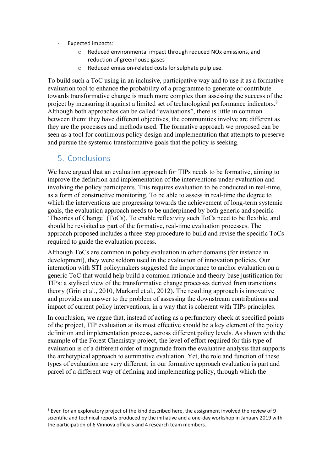- Expected impacts:
	- o Reduced environmental impact through reduced NOx emissions, and reduction of greenhouse gases
	- o Reduced emission-related costs for sulphate pulp use.

To build such a ToC using in an inclusive, participative way and to use it as a formative evaluation tool to enhance the probability of a programme to generate or contribute towards transformative change is much more complex than assessing the success of the project by measuring it against a limited set of technological performance indicators.<sup>8</sup> Although both approaches can be called "evaluations", there is little in common between them: they have different objectives, the communities involve are different as they are the processes and methods used. The formative approach we proposed can be seen as a tool for continuous policy design and implementation that attempts to preserve and pursue the systemic transformative goals that the policy is seeking.

#### 5. Conclusions

We have argued that an evaluation approach for TIPs needs to be formative, aiming to improve the definition and implementation of the interventions under evaluation and involving the policy participants. This requires evaluation to be conducted in real-time, as a form of constructive monitoring. To be able to assess in real-time the degree to which the interventions are progressing towards the achievement of long-term systemic goals, the evaluation approach needs to be underpinned by both generic and specific 'Theories of Change' (ToCs). To enable reflexivity such ToCs need to be flexible, and should be revisited as part of the formative, real-time evaluation processes. The approach proposed includes a three-step procedure to build and revise the specific ToCs required to guide the evaluation process.

Although ToCs are common in policy evaluation in other domains (for instance in development), they were seldom used in the evaluation of innovation policies. Our interaction with STI policymakers suggested the importance to anchor evaluation on a generic ToC that would help build a common rationale and theory-base justification for TIPs: a stylised view of the transformative change processes derived from transitions theory (Grin et al., 2010, Markard et al., 2012). The resulting approach is innovative and provides an answer to the problem of assessing the downstream contributions and impact of current policy interventions, in a way that is coherent with TIPs principles.

In conclusion, we argue that, instead of acting as a perfunctory check at specified points of the project, TIP evaluation at its most effective should be a key element of the policy definition and implementation process, across different policy levels. As shown with the example of the Forest Chemistry project, the level of effort required for this type of evaluation is of a different order of magnitude from the evaluative analysis that supports the archetypical approach to summative evaluation. Yet, the role and function of these types of evaluation are very different: in our formative approach evaluation is part and parcel of a different way of defining and implementing policy, through which the

<sup>8</sup> Even for an exploratory project of the kind described here, the assignment involved the review of 9 scientific and technical reports produced by the initiative and a one-day workshop in January 2019 with the participation of 6 Vinnova officials and 4 research team members.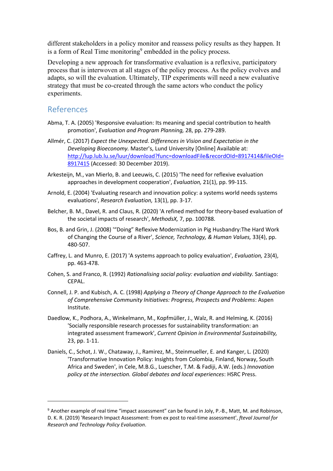different stakeholders in a policy monitor and reassess policy results as they happen. It is a form of Real Time monitoring<sup>9</sup> embedded in the policy process.

Developing a new approach for transformative evaluation is a reflexive, participatory process that is interwoven at all stages of the policy process. As the policy evolves and adapts, so will the evaluation. Ultimately, TIP experiments will need a new evaluative strategy that must be co-created through the same actors who conduct the policy experiments.

## References

- Abma, T. A. (2005) 'Responsive evaluation: Its meaning and special contribution to health promotion', *Evaluation and Program Planning,* 28, pp. 279-289.
- Allmér, C. (2017) *Expect the Unexpected. Differences in Vision and Expectation in the Developing Bioeconomy.* Master's, Lund University [Online] Available at: http://lup.lub.lu.se/luur/download?func=downloadFile&recordOId=8917414&fileOId= 8917415 (Accessed: 30 December 2019).
- Arkesteijn, M., van Mierlo, B. and Leeuwis, C. (2015) 'The need for reflexive evaluation approaches in development cooperation', *Evaluation,* 21(1), pp. 99-115.
- Arnold, E. (2004) 'Evaluating research and innovation policy: a systems world needs systems evaluations', *Research Evaluation,* 13(1), pp. 3-17.
- Belcher, B. M., Davel, R. and Claus, R. (2020) 'A refined method for theory-based evaluation of the societal impacts of research', *MethodsX,* 7, pp. 100788.
- Bos, B. and Grin, J. (2008) '"Doing" Reflexive Modernization in Pig Husbandry:The Hard Work of Changing the Course of a River', *Science, Technology, & Human Values,* 33(4), pp. 480-507.
- Caffrey, L. and Munro, E. (2017) 'A systems approach to policy evaluation', *Evaluation,* 23(4), pp. 463-478.
- Cohen, S. and Franco, R. (1992) *Rationalising social policy: evaluation and viability.* Santiago: CEPAL.
- Connell, J. P. and Kubisch, A. C. (1998) *Applying a Theory of Change Approach to the Evaluation of Comprehensive Community Initiatives: Progress, Prospects and Problems*: Aspen Institute.
- Daedlow, K., Podhora, A., Winkelmann, M., Kopfmüller, J., Walz, R. and Helming, K. (2016) 'Socially responsible research processes for sustainability transformation: an integrated assessment framework', *Current Opinion in Environmental Sustainability,* 23, pp. 1-11.
- Daniels, C., Schot, J. W., Chataway, J., Ramirez, M., Steinmueller, E. and Kanger, L. (2020) 'Transformative Innovation Policy: Insights from Colombia, Finland, Norway, South Africa and Sweden', in Cele, M.B.G., Luescher, T.M. & Fadiji, A.W. (eds.) *Innovation policy at the intersection. Global debates and local experiences*: HSRC Press.

<sup>&</sup>lt;sup>9</sup> Another example of real time "impact assessment" can be found in Joly, P.-B., Matt, M. and Robinson, D. K. R. (2019) 'Research Impact Assessment: from ex post to real-time assessment', *fteval Journal for Research and Technology Policy Evaluation*.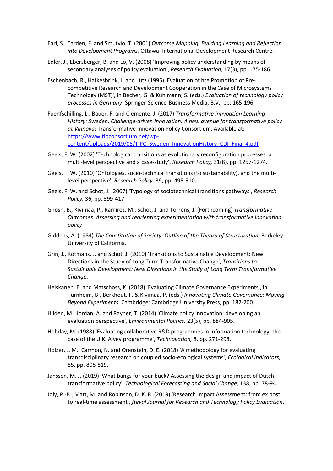- Earl, S., Carden, F. and Smutylo, T. (2001) *Outcome Mapping. Building Learning and Reflection into Development Programs.* Ottawa: International Development Research Centre.
- Edler, J., Ebersberger, B. and Lo, V. (2008) 'Improving policy understanding by means of secondary analyses of policy evaluation', *Research Evaluation,* 17(3), pp. 175-186.
- Eschenbach, R., Hafkesbrink, J. and Lütz (1995) 'Evaluation of hte Promotion of Precompetitive Research and Development Cooperation in the Case of Microsystems Technology (MST)', in Becher, G. & Kuhlmann, S. (eds.) *Evaluation of technology policy processes in Germany*: Springer-Science-Business Media, B.V., pp. 165-196.
- Fuenfschilling, L., Bauer, F. and Clemente, J. (2017) *Transformative Innvoation Learning History: Sweden. Challenge-driven Innovation: A new avenue for transformative policy at Vinnova*: Transformative Innovation Policy Consortium. Available at: https://www.tipconsortium.net/wpcontent/uploads/2019/05/TIPC Sweden\_InnovationHistory\_CDI\_Final-4.pdf.
- Geels, F. W. (2002) 'Technological transitions as evolutionary reconfiguration processes: a multi-level perspective and a case-study', *Research Policy,* 31(8), pp. 1257-1274.
- Geels, F. W. (2010) 'Ontologies, socio-technical transitions (to sustainability), and the multilevel perspective', *Research Policy,* 39, pp. 495-510.
- Geels, F. W. and Schot, J. (2007) 'Typology of sociotechnical transitions pathways', *Research Policy,* 36, pp. 399-417.
- Ghosh, B., Kivimaa, P., Ramirez, M., Schot, J. and Torrens, J. (Forthcoming) *Transformative Outcomes: Assessing and reorienting experimentation with transformative innovation policy*.
- Giddens, A. (1984) *The Constitution of Society. Outline of the Theoru of Structuration.* Berkeley: University of California.
- Grin, J., Rotmans, J. and Schot, J. (2010) 'Transitions to Sustainable Development: New Directions in the Study of Long Term Transformative Change', *Transitions to Sustainable Development: New Directions in the Study of Long Term Transformative Change*.
- Heiskanen, E. and Matschoss, K. (2018) 'Evaluating Climate Governance Experiments', in Turnheim, B., Berkhout, F. & Kivimaa, P. (eds.) *Innovating Climate Governance: Moving Beyond Experiments*. Cambridge: Cambridge University Press, pp. 182-200.
- Hildén, M., Jordan, A. and Rayner, T. (2014) 'Climate policy innovation: developing an evaluation perspective', *Environmental Politics,* 23(5), pp. 884-905.
- Hobday, M. (1988) 'Evaluating collaborative R&D programmes in information technology: the case of the U.K. Alvey programme', *Technovation,* 8, pp. 271-298.
- Holzer, J. M., Carmon, N. and Orenstein, D. E. (2018) 'A methodology for evaluating transdisciplinary research on coupled socio-ecological systems', *Ecological Indicators,* 85, pp. 808-819.
- Janssen, M. J. (2019) 'What bangs for your buck? Assessing the design and impact of Dutch transformative policy', *Technological Forecasting and Social Change,* 138, pp. 78-94.
- Joly, P.-B., Matt, M. and Robinson, D. K. R. (2019) 'Research Impact Assessment: from ex post to real-time assessment', *fteval Journal for Research and Technology Policy Evaluation*.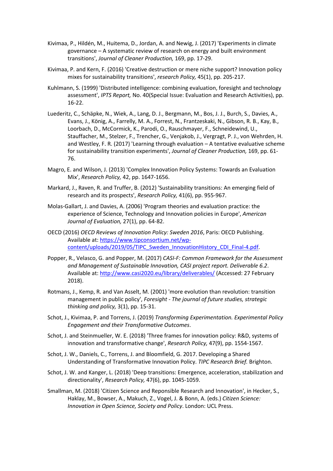- Kivimaa, P., Hildén, M., Huitema, D., Jordan, A. and Newig, J. (2017) 'Experiments in climate governance – A systematic review of research on energy and built environment transitions', *Journal of Cleaner Production,* 169, pp. 17-29.
- Kivimaa, P. and Kern, F. (2016) 'Creative destruction or mere niche support? Innovation policy mixes for sustainability transitions', *research Policy,* 45(1), pp. 205-217.
- Kuhlmann, S. (1999) 'Distributed intelligence: combining evaluation, foresight and technology assessment', *IPTS Report,* No. 40(Special Issue: Evaluation and Research Activities), pp. 16-22.
- Luederitz, C., Schäpke, N., Wiek, A., Lang, D. J., Bergmann, M., Bos, J. J., Burch, S., Davies, A., Evans, J., König, A., Farrelly, M. A., Forrest, N., Frantzeskaki, N., Gibson, R. B., Kay, B., Loorbach, D., McCormick, K., Parodi, O., Rauschmayer, F., Schneidewind, U., Stauffacher, M., Stelzer, F., Trencher, G., Venjakob, J., Vergragt, P. J., von Wehrden, H. and Westley, F. R. (2017) 'Learning through evaluation – A tentative evaluative scheme for sustainability transition experiments', *Journal of Cleaner Production,* 169, pp. 61- 76.
- Magro, E. and Wilson, J. (2013) 'Complex Innovation Policy Systems: Towards an Evaluation Mix', *Research Policy,* 42, pp. 1647-1656.
- Markard, J., Raven, R. and Truffer, B. (2012) 'Sustainability transitions: An emerging field of research and its prospects', *Research Policy,* 41(6), pp. 955-967.
- Molas-Gallart, J. and Davies, A. (2006) 'Program theories and evaluation practice: the experience of Science, Technology and Innovation policies in Europe', *American Journal of Evaluation,* 27(1), pp. 64-82.
- OECD (2016) *OECD Reviews of Innovation Policy: Sweden 2016*, Paris: OECD Publishing. Available at: https://www.tipconsortium.net/wpcontent/uploads/2019/05/TIPC\_Sweden\_InnovationHistory\_CDI\_Final-4.pdf.
- Popper, R., Velasco, G. and Popper, M. (2017) *CASI-F: Common Framework for the Assessment and Management of Sustainable Innovation, CASI project report. Deliverable 6.2*. Available at: http://www.casi2020.eu/library/deliverables/ (Accessed: 27 February 2018).
- Rotmans, J., Kemp, R. and Van Asselt, M. (2001) 'more evolution than revolution: transition management in public policy', *Foresight - The journal of future studies, strategic thinking and policy,* 3(1), pp. 15-31.
- Schot, J., Kivimaa, P. and Torrens, J. (2019) *Transforming Experimentation. Experimental Policy Engagement and their Transformative Outcomes*.
- Schot, J. and Steinmueller, W. E. (2018) 'Three frames for innovation policy: R&D, systems of innovation and transformative change', *Research Policy,* 47(9), pp. 1554-1567.
- Schot, J. W., Daniels, C., Torrens, J. and Bloomfield, G. 2017. Developing a Shared Understanding of Transformative Innovation Policy. *TIPC Research Brief.* Brighton.
- Schot, J. W. and Kanger, L. (2018) 'Deep transitions: Emergence, acceleration, stabilization and directionality', *Research Policy,* 47(6), pp. 1045-1059.
- Smallman, M. (2018) 'Citizen Science and Reponsible Research and Innovation', in Hecker, S., Haklay, M., Bowser, A., Makuch, Z., Vogel, J. & Bonn, A. (eds.) *Citizen Science: Innovation in Open Science, Society and Policy*. London: UCL Press.